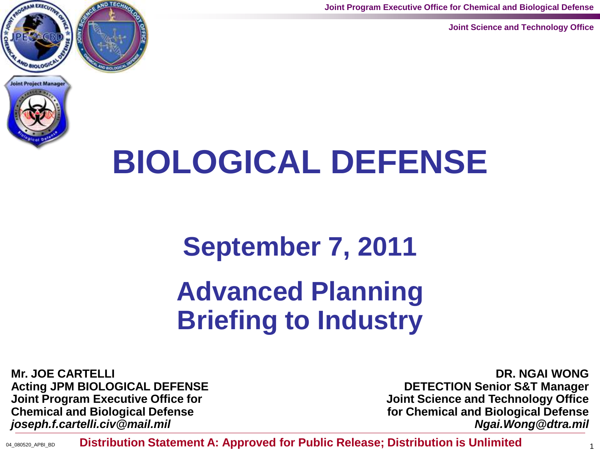**Joint Program Executive Office for Chemical and Biological Defense**

**Joint Science and Technology Office**





# **BIOLOGICAL DEFENSE**

## **September 7, 2011**

# **Advanced Planning Briefing to Industry**

**Mr. JOE CARTELLI Acting JPM BIOLOGICAL DEFENSE Joint Program Executive Office for Chemical and Biological Defense** *joseph.f.cartelli.civ@mail.mil*

**DR. NGAI WONG DETECTION Senior S&T Manager Joint Science and Technology Office for Chemical and Biological Defense** *Ngai.Wong@dtra.mil*

**04\_080520\_APBI\_BD** Distribution Statement A: Approved for Public Release; Distribution is Unlimited <sub>1</sub>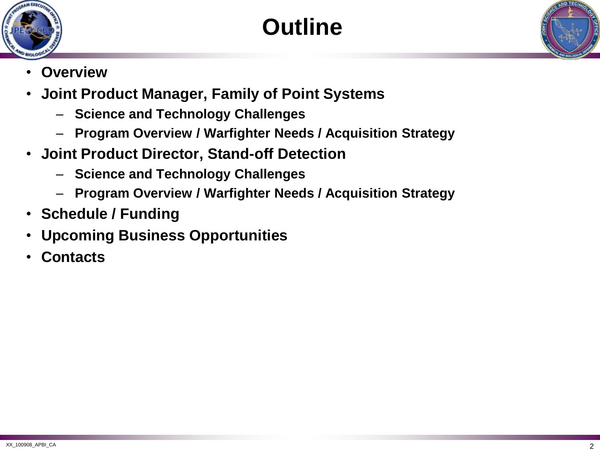





- **Overview**
- **Joint Product Manager, Family of Point Systems**
	- **Science and Technology Challenges**
	- **Program Overview / Warfighter Needs / Acquisition Strategy**
- **Joint Product Director, Stand-off Detection**
	- **Science and Technology Challenges**
	- **Program Overview / Warfighter Needs / Acquisition Strategy**
- **Schedule / Funding**
- **Upcoming Business Opportunities**
- **Contacts**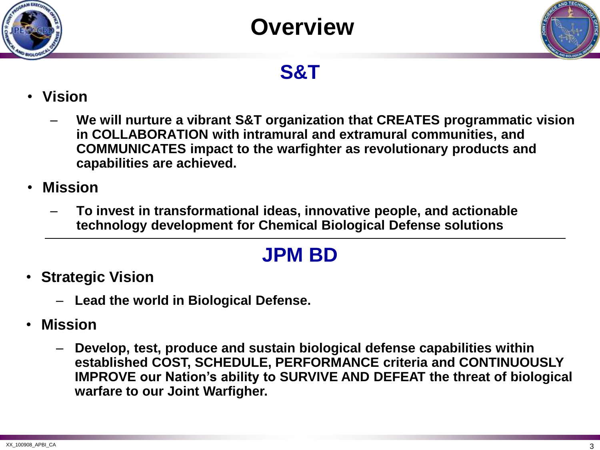

## **Overview**



## **S&T**

- **Vision**
	- **We will nurture a vibrant S&T organization that CREATES programmatic vision in COLLABORATION with intramural and extramural communities, and COMMUNICATES impact to the warfighter as revolutionary products and capabilities are achieved.**
- **Mission**
	- **To invest in transformational ideas, innovative people, and actionable technology development for Chemical Biological Defense solutions**

## **JPM BD**

- **Strategic Vision**
	- **Lead the world in Biological Defense.**
- **Mission**
	- **Develop, test, produce and sustain biological defense capabilities within established COST, SCHEDULE, PERFORMANCE criteria and CONTINUOUSLY IMPROVE our Nation's ability to SURVIVE AND DEFEAT the threat of biological warfare to our Joint Warfigher.**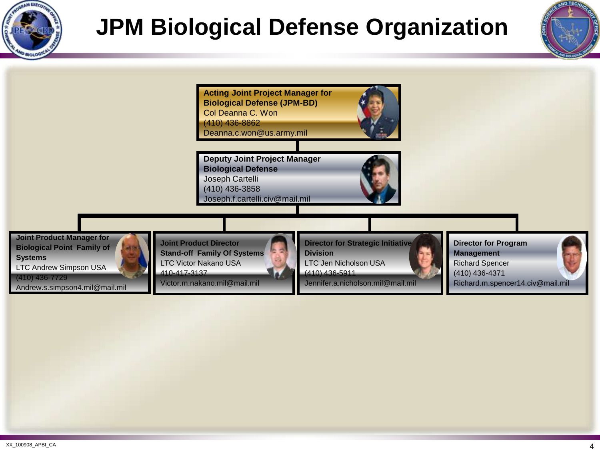

# **JPM Biological Defense Organization**



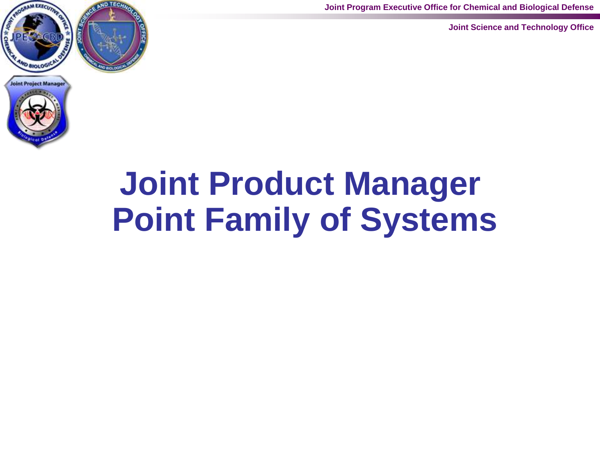

**Joint Program Executive Office for Chemical and Biological Defense**

**Joint Science and Technology Office**



# **Joint Product Manager Point Family of Systems**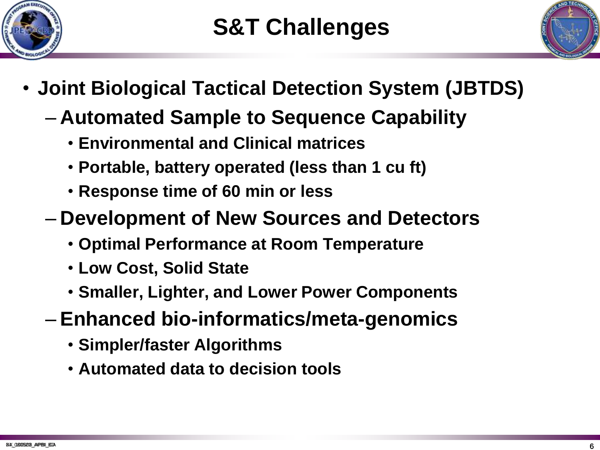



- **Joint Biological Tactical Detection System (JBTDS)**
	- **Automated Sample to Sequence Capability**
		- **Environmental and Clinical matrices**
		- **Portable, battery operated (less than 1 cu ft)**
		- **Response time of 60 min or less**
	- **Development of New Sources and Detectors**
		- **Optimal Performance at Room Temperature**
		- **Low Cost, Solid State**
		- **Smaller, Lighter, and Lower Power Components**
	- **Enhanced bio-informatics/meta-genomics**
		- **Simpler/faster Algorithms**
		- **Automated data to decision tools**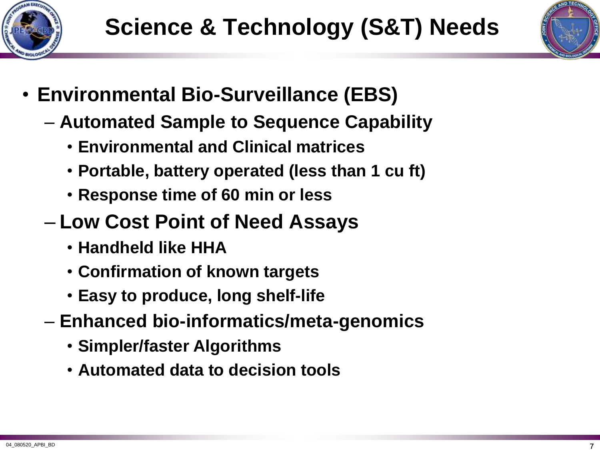



- **Environmental Bio-Surveillance (EBS)**
	- **Automated Sample to Sequence Capability**
		- **Environmental and Clinical matrices**
		- **Portable, battery operated (less than 1 cu ft)**
		- **Response time of 60 min or less**
	- **Low Cost Point of Need Assays**
		- **Handheld like HHA**
		- **Confirmation of known targets**
		- **Easy to produce, long shelf-life**
	- **Enhanced bio-informatics/meta-genomics**
		- **Simpler/faster Algorithms**
		- **Automated data to decision tools**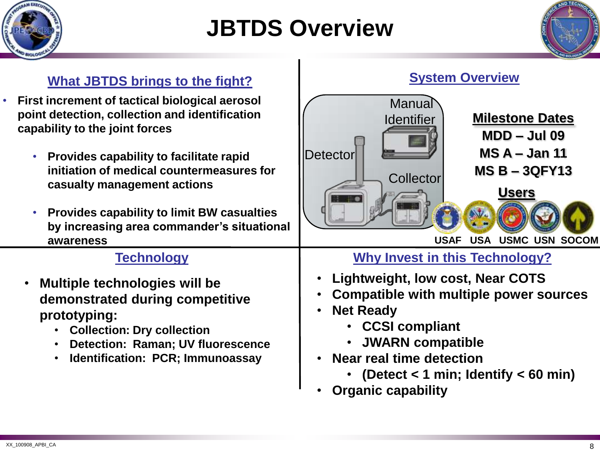

## **JBTDS Overview**



#### **What JBTDS brings to the fight?**

- **First increment of tactical biological aerosol point detection, collection and identification capability to the joint forces**
	- **Provides capability to facilitate rapid initiation of medical countermeasures for casualty management actions**
	- **Provides capability to limit BW casualties by increasing area commander's situational awareness**

- **Multiple technologies will be demonstrated during competitive prototyping:**
	- **Collection: Dry collection**
	- **Detection: Raman; UV fluorescence**
	- **Identification: PCR; Immunoassay**



## **Technology Why Invest in this Technology?**

- **Lightweight, low cost, Near COTS**
- **Compatible with multiple power sources**
- **Net Ready** 
	- **CCSI compliant**
	- **JWARN compatible**
- **Near real time detection**
	- **(Detect < 1 min; Identify < 60 min)**
- **Organic capability**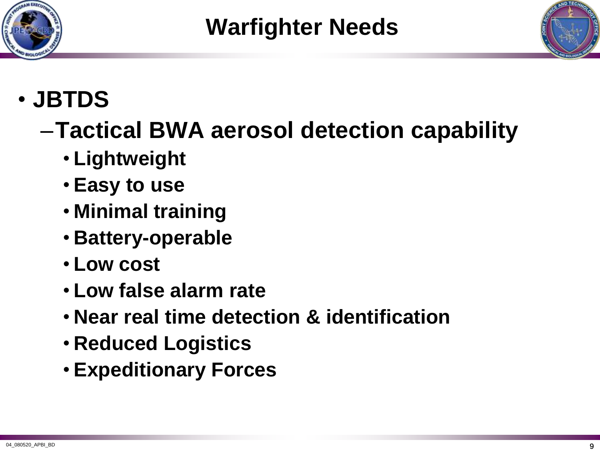



## • **JBTDS**

# –**Tactical BWA aerosol detection capability**

- **Lightweight**
- **Easy to use**
- **Minimal training**
- **Battery-operable**
- **Low cost**
- **Low false alarm rate**
- **Near real time detection & identification**
- **Reduced Logistics**
- **Expeditionary Forces**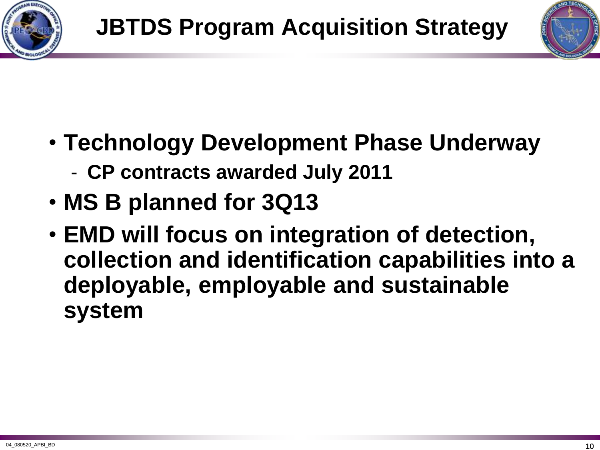



- **Technology Development Phase Underway**
	- **CP contracts awarded July 2011**
- **MS B planned for 3Q13**
- **EMD will focus on integration of detection, collection and identification capabilities into a deployable, employable and sustainable system**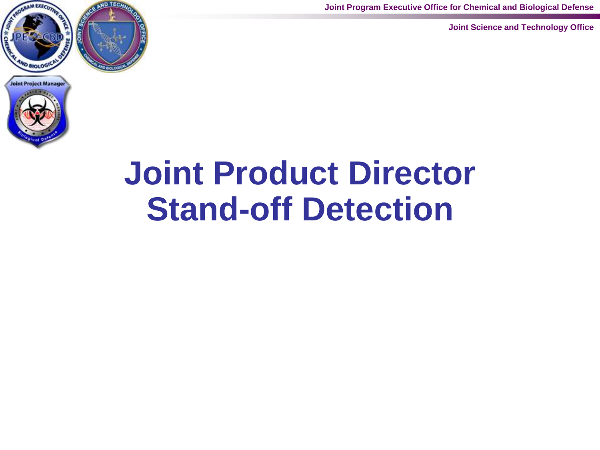**Joint Program Executive Office for Chemical and Biological Defense**

**Joint Science and Technology Office**





# **Joint Product Director Stand-off Detection**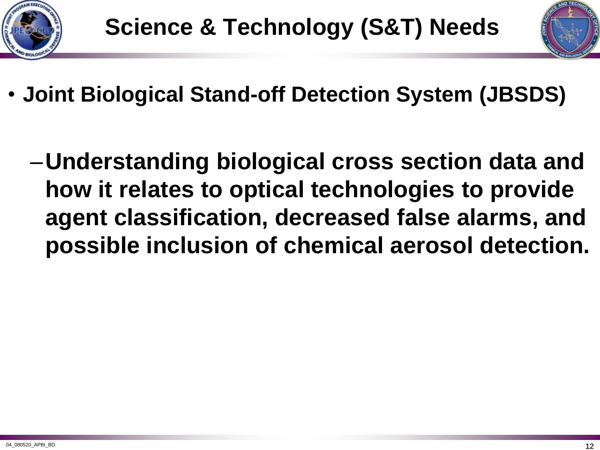



- **Joint Biological Stand-off Detection System (JBSDS)**
	- –**Understanding biological cross section data and how it relates to optical technologies to provide agent classification, decreased false alarms, and possible inclusion of chemical aerosol detection.**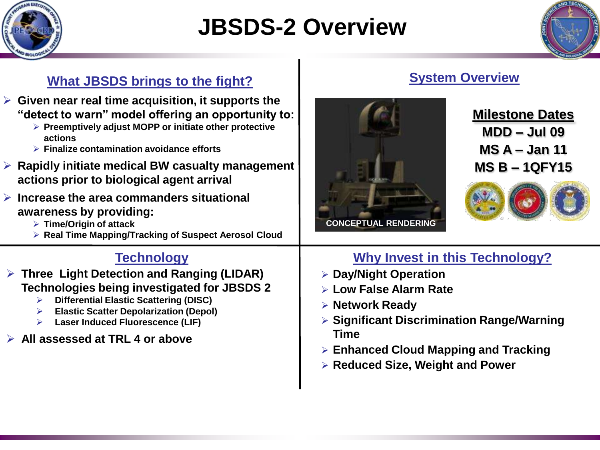

## **JBSDS-2 Overview**



### **What JBSDS brings to the fight?**

- **Given near real time acquisition, it supports the "detect to warn" model offering an opportunity to:**
	- **Preemptively adjust MOPP or initiate other protective actions**
	- **Finalize contamination avoidance efforts**
- **Rapidly initiate medical BW casualty management actions prior to biological agent arrival**
- **Increase the area commanders situational awareness by providing:**
	- **Time/Origin of attack**
	- **Real Time Mapping/Tracking of Suspect Aerosol Cloud**

- **Three Light Detection and Ranging (LIDAR) Technologies being investigated for JBSDS 2**
	- **Differential Elastic Scattering (DISC)**
	- **Elastic Scatter Depolarization (Depol)**
	- **Laser Induced Fluorescence (LIF)**

## **All assessed at TRL 4 or above**





## **Milestone Dates MDD – Jul 09 MS A – Jan 11 MS B – 1QFY15**



## **Technology Why Invest in this Technology?**

- **Day/Night Operation**
- **Low False Alarm Rate**
- **Network Ready**
- **Significant Discrimination Range/Warning Time**
- **Enhanced Cloud Mapping and Tracking**
- **Reduced Size, Weight and Power**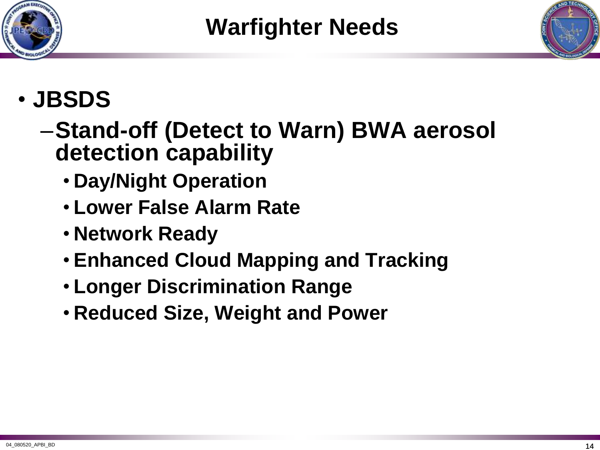



## • **JBSDS**

- –**Stand-off (Detect to Warn) BWA aerosol detection capability**
	- **Day/Night Operation**
	- **Lower False Alarm Rate**
	- **Network Ready**
	- **Enhanced Cloud Mapping and Tracking**
	- **Longer Discrimination Range**
	- **Reduced Size, Weight and Power**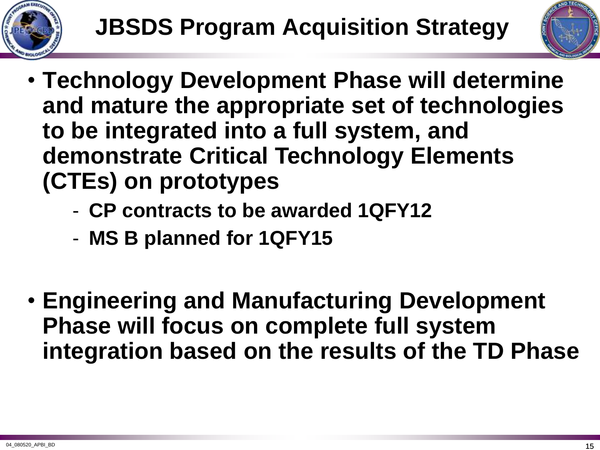



- **Technology Development Phase will determine and mature the appropriate set of technologies to be integrated into a full system, and demonstrate Critical Technology Elements (CTEs) on prototypes**
	- **CP contracts to be awarded 1QFY12**
	- **MS B planned for 1QFY15**
- **Engineering and Manufacturing Development Phase will focus on complete full system integration based on the results of the TD Phase**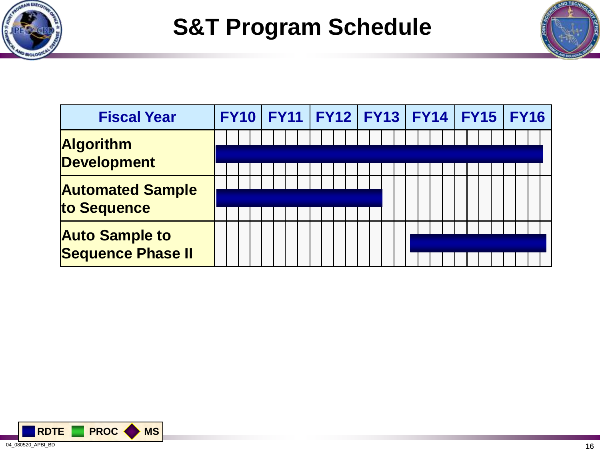

## **S&T Program Schedule**



| <b>Fiscal Year</b>                                |  |  | FY10   FY11   FY12   FY13   FY14   FY15   FY16 |  |
|---------------------------------------------------|--|--|------------------------------------------------|--|
| <b>Algorithm</b><br><b>Development</b>            |  |  |                                                |  |
| <b>Automated Sample</b><br>to Sequence            |  |  |                                                |  |
| <b>Auto Sample to</b><br><b>Sequence Phase II</b> |  |  |                                                |  |

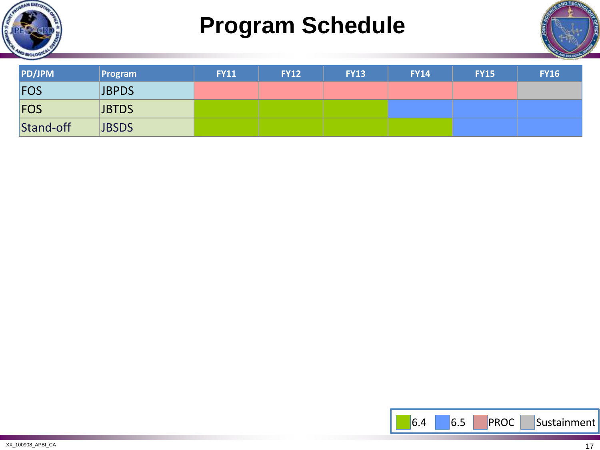

## **Program Schedule**



| <b>PD/JPM</b> | Program      | <b>FY11</b> | <b>FY12</b> | <b>FY13</b> | <b>FY14</b> | <b>FY15</b> | <b>FY16</b> |
|---------------|--------------|-------------|-------------|-------------|-------------|-------------|-------------|
| <b>FOS</b>    | <b>JBPDS</b> |             |             |             |             |             |             |
| <b>FOS</b>    | <b>JBTDS</b> |             |             |             |             |             |             |
| Stand-off     | <b>JBSDS</b> |             |             |             |             |             |             |

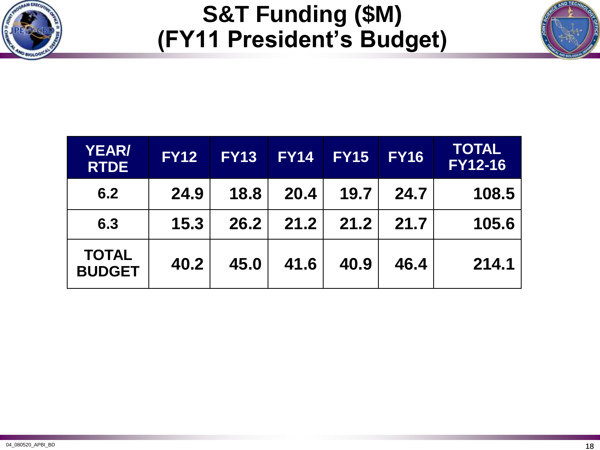

## **S&T Funding (\$M) (FY11 President's Budget)**

| ECHNOLO<br>n<br>٨ |  |
|-------------------|--|
|                   |  |
|                   |  |
|                   |  |

| <b>YEAR/</b><br><b>RTDE</b>   | <b>FY12</b> | <b>FY13</b> | <b>FY14</b> | <b>FY15</b> | <b>FY16</b> | <b>TOTAL</b><br><b>FY12-16</b> |
|-------------------------------|-------------|-------------|-------------|-------------|-------------|--------------------------------|
| 6.2                           | 24.9        | 18.8        | 20.4        | 19.7        | 24.7        | 108.5                          |
| 6.3                           | 15.3        | 26.2        | 21.2        | 21.2        | 21.7        | 105.6                          |
| <b>TOTAL</b><br><b>BUDGET</b> | 40.2        | 45.0        | 41.6        | 40.9        | 46.4        | 214.1                          |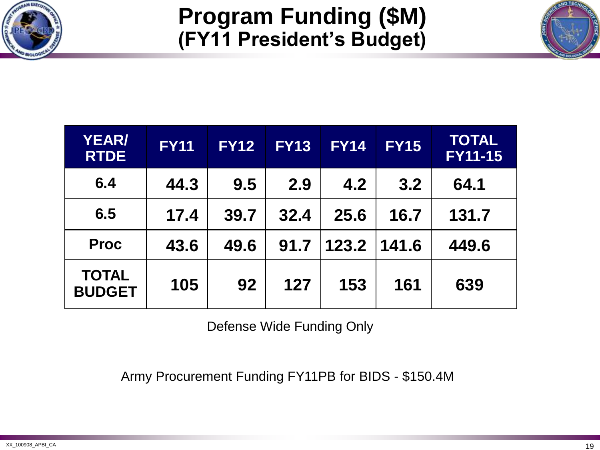

## **Program Funding (\$M) (FY11 President's Budget)**

| <b>YEAR/</b><br><b>RTDE</b>   | <b>FY11</b> | <b>FY12</b> | <b>FY13</b> | <b>FY14</b> | <b>FY15</b> | <b>TOTAL</b><br><b>FY11-15</b> |
|-------------------------------|-------------|-------------|-------------|-------------|-------------|--------------------------------|
| 6.4                           | 44.3        | 9.5         | 2.9         | 4.2         | 3.2         | 64.1                           |
| 6.5                           | 17.4        | 39.7        | 32.4        | 25.6        | 16.7        | 131.7                          |
| <b>Proc</b>                   | 43.6        | 49.6        | 91.7        | 123.2       | 141.6       | 449.6                          |
| <b>TOTAL</b><br><b>BUDGET</b> | 105         | 92          | 127         | 153         | 161         | 639                            |

Defense Wide Funding Only

Army Procurement Funding FY11PB for BIDS - \$150.4M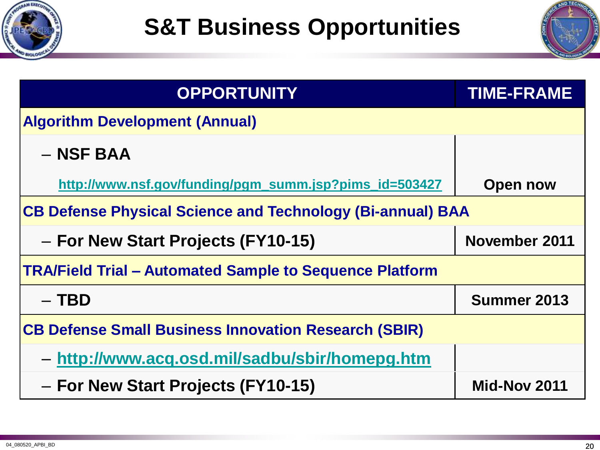



| <b>OPPORTUNITY</b>                                                | <b>TIME-FRAME</b>   |  |  |  |  |
|-------------------------------------------------------------------|---------------------|--|--|--|--|
| <b>Algorithm Development (Annual)</b>                             |                     |  |  |  |  |
| $-$ NSF BAA                                                       |                     |  |  |  |  |
| http://www.nsf.gov/funding/pgm_summ.jsp?pims_id=503427            | <b>Open now</b>     |  |  |  |  |
| <b>CB Defense Physical Science and Technology (Bi-annual) BAA</b> |                     |  |  |  |  |
| - For New Start Projects (FY10-15)                                | November 2011       |  |  |  |  |
| <b>TRA/Field Trial – Automated Sample to Sequence Platform</b>    |                     |  |  |  |  |
| $-$ TBD                                                           | Summer 2013         |  |  |  |  |
| <b>CB Defense Small Business Innovation Research (SBIR)</b>       |                     |  |  |  |  |
| - http://www.acq.osd.mil/sadbu/sbir/homepg.htm                    |                     |  |  |  |  |
| - For New Start Projects (FY10-15)                                | <b>Mid-Nov 2011</b> |  |  |  |  |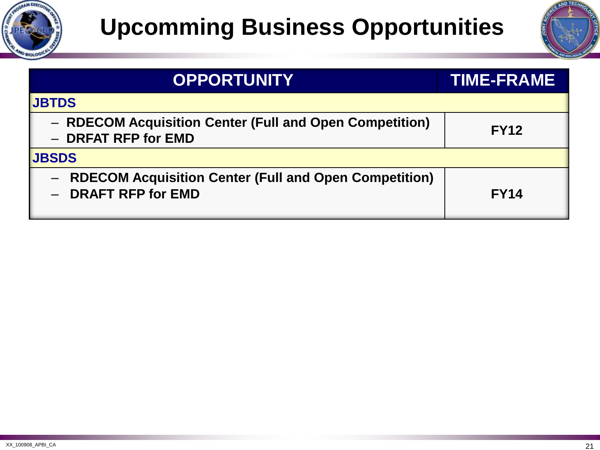



| <b>OPPORTUNITY</b>                                                                  | <b>TIME-FRAME</b> |
|-------------------------------------------------------------------------------------|-------------------|
| <b>JBTDS</b>                                                                        |                   |
| - RDECOM Acquisition Center (Full and Open Competition)<br>- DRFAT RFP for EMD      | <b>FY12</b>       |
| <b>JBSDS</b>                                                                        |                   |
| <b>RDECOM Acquisition Center (Full and Open Competition)</b><br>- DRAFT RFP for EMD | <b>FY14</b>       |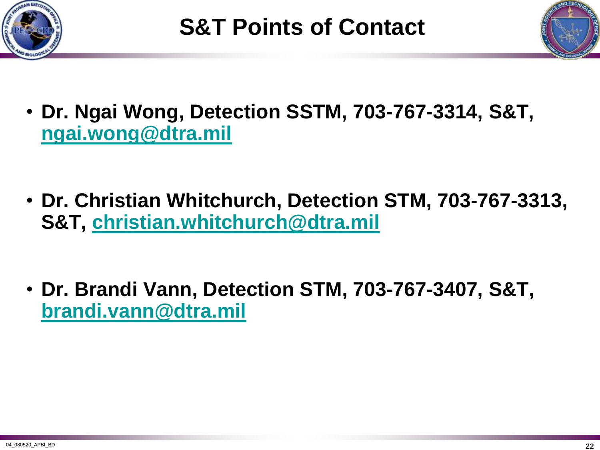



- **Dr. Ngai Wong, Detection SSTM, 703-767-3314, S&T, [ngai.wong@dtra.mil](mailto:ngai.wong@dtra.mil)**
- **Dr. Christian Whitchurch, Detection STM, 703-767-3313, S&T, [christian.whitchurch@dtra.mil](mailto:christian.whitchurch@dtra.mil)**
- **Dr. Brandi Vann, Detection STM, 703-767-3407, S&T, [brandi.vann@dtra.mil](mailto:brandi.vann@dtra.mil)**